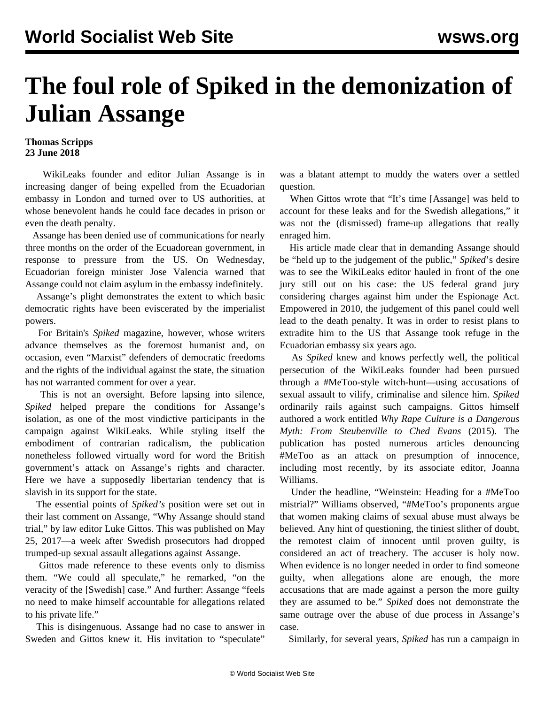## **The foul role of Spiked in the demonization of Julian Assange**

## **Thomas Scripps 23 June 2018**

 WikiLeaks founder and editor Julian Assange is in increasing danger of being expelled from the Ecuadorian embassy in London and turned over to US authorities, at whose benevolent hands he could face decades in prison or even the death penalty.

 Assange has been denied use of communications for nearly three months on the order of the Ecuadorean government, in response to pressure from the US. On Wednesday, Ecuadorian foreign minister Jose Valencia warned that Assange could not claim asylum in the embassy indefinitely.

 Assange's plight demonstrates the extent to which basic democratic rights have been eviscerated by the imperialist powers.

 For Britain's *Spiked* magazine, however, whose writers advance themselves as the foremost humanist and, on occasion, even "Marxist" defenders of democratic freedoms and the rights of the individual against the state, the situation has not warranted comment for over a year.

 This is not an oversight. Before lapsing into silence, *Spiked* helped prepare the conditions for Assange's isolation, as one of the most vindictive participants in the campaign against WikiLeaks. While styling itself the embodiment of contrarian radicalism, the publication nonetheless followed virtually word for word the British government's attack on Assange's rights and character. Here we have a supposedly libertarian tendency that is slavish in its support for the state.

 The essential points of *Spiked's* position were set out in their last comment on Assange, "Why Assange should stand trial," by law editor Luke Gittos. This was published on May 25, 2017—a week after Swedish prosecutors had dropped trumped-up sexual assault allegations against Assange.

 Gittos made reference to these events only to dismiss them. "We could all speculate," he remarked, "on the veracity of the [Swedish] case." And further: Assange "feels no need to make himself accountable for allegations related to his private life."

 This is disingenuous. Assange had no case to answer in Sweden and Gittos knew it. His invitation to "speculate"

was a blatant attempt to muddy the waters over a settled question.

 When Gittos wrote that "It's time [Assange] was held to account for these leaks and for the Swedish allegations," it was not the (dismissed) frame-up allegations that really enraged him.

 His article made clear that in demanding Assange should be "held up to the judgement of the public," *Spiked*'s desire was to see the WikiLeaks editor hauled in front of the one jury still out on his case: the US federal grand jury considering charges against him under the Espionage Act. Empowered in 2010, the judgement of this panel could well lead to the death penalty. It was in order to resist plans to extradite him to the US that Assange took refuge in the Ecuadorian embassy six years ago.

 As *Spiked* knew and knows perfectly well, the political persecution of the WikiLeaks founder had been pursued through a #MeToo-style witch-hunt—using accusations of sexual assault to vilify, criminalise and silence him. *Spiked* ordinarily rails against such campaigns. Gittos himself authored a work entitled *Why Rape Culture is a Dangerous Myth: From Steubenville to Ched Evans* (2015). The publication has posted numerous articles denouncing #MeToo as an attack on presumption of innocence, including most recently, by its associate editor, Joanna Williams.

 Under the headline, "Weinstein: Heading for a #MeToo mistrial?" Williams observed, "#MeToo's proponents argue that women making claims of sexual abuse must always be believed. Any hint of questioning, the tiniest slither of doubt, the remotest claim of innocent until proven guilty, is considered an act of treachery. The accuser is holy now. When evidence is no longer needed in order to find someone guilty, when allegations alone are enough, the more accusations that are made against a person the more guilty they are assumed to be." *Spiked* does not demonstrate the same outrage over the abuse of due process in Assange's case.

Similarly, for several years, *Spiked* has run a campaign in